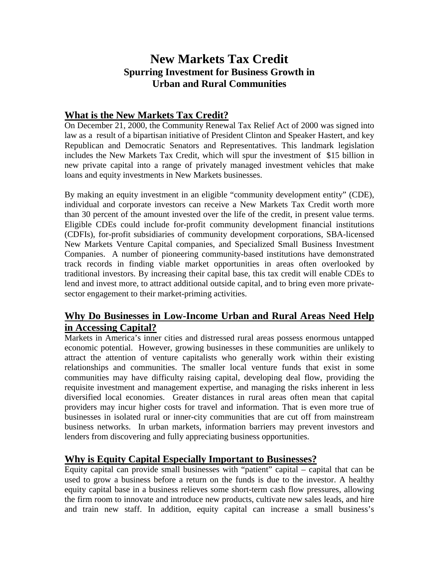# **New Markets Tax Credit Spurring Investment for Business Growth in Urban and Rural Communities**

## **What is the New Markets Tax Credit?**

On December 21, 2000, the Community Renewal Tax Relief Act of 2000 was signed into law as a result of a bipartisan initiative of President Clinton and Speaker Hastert, and key Republican and Democratic Senators and Representatives. This landmark legislation includes the New Markets Tax Credit, which will spur the investment of \$15 billion in new private capital into a range of privately managed investment vehicles that make loans and equity investments in New Markets businesses.

By making an equity investment in an eligible "community development entity" (CDE), individual and corporate investors can receive a New Markets Tax Credit worth more than 30 percent of the amount invested over the life of the credit, in present value terms. Eligible CDEs could include for-profit community development financial institutions (CDFIs), for-profit subsidiaries of community development corporations, SBA-licensed New Markets Venture Capital companies, and Specialized Small Business Investment Companies. A number of pioneering community-based institutions have demonstrated track records in finding viable market opportunities in areas often overlooked by traditional investors. By increasing their capital base, this tax credit will enable CDEs to lend and invest more, to attract additional outside capital, and to bring even more privatesector engagement to their market-priming activities.

## **Why Do Businesses in Low-Income Urban and Rural Areas Need Help in Accessing Capital?**

Markets in America's inner cities and distressed rural areas possess enormous untapped economic potential. However, growing businesses in these communities are unlikely to attract the attention of venture capitalists who generally work within their existing relationships and communities. The smaller local venture funds that exist in some communities may have difficulty raising capital, developing deal flow, providing the requisite investment and management expertise, and managing the risks inherent in less diversified local economies. Greater distances in rural areas often mean that capital providers may incur higher costs for travel and information. That is even more true of businesses in isolated rural or inner-city communities that are cut off from mainstream business networks. In urban markets, information barriers may prevent investors and lenders from discovering and fully appreciating business opportunities.

## **Why is Equity Capital Especially Important to Businesses?**

Equity capital can provide small businesses with "patient" capital – capital that can be used to grow a business before a return on the funds is due to the investor. A healthy equity capital base in a business relieves some short-term cash flow pressures, allowing the firm room to innovate and introduce new products, cultivate new sales leads, and hire and train new staff. In addition, equity capital can increase a small business's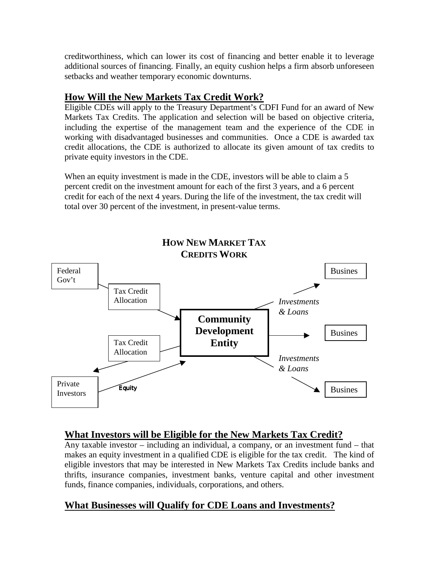creditworthiness, which can lower its cost of financing and better enable it to leverage additional sources of financing. Finally, an equity cushion helps a firm absorb unforeseen setbacks and weather temporary economic downturns.

## **How Will the New Markets Tax Credit Work?**

Eligible CDEs will apply to the Treasury Department's CDFI Fund for an award of New Markets Tax Credits. The application and selection will be based on objective criteria, including the expertise of the management team and the experience of the CDE in working with disadvantaged businesses and communities. Once a CDE is awarded tax credit allocations, the CDE is authorized to allocate its given amount of tax credits to private equity investors in the CDE.

When an equity investment is made in the CDE, investors will be able to claim a 5 percent credit on the investment amount for each of the first 3 years, and a 6 percent credit for each of the next 4 years. During the life of the investment, the tax credit will total over 30 percent of the investment, in present-value terms.



## **What Investors will be Eligible for the New Markets Tax Credit?**

Any taxable investor – including an individual, a company, or an investment fund – that makes an equity investment in a qualified CDE is eligible for the tax credit. The kind of eligible investors that may be interested in New Markets Tax Credits include banks and thrifts, insurance companies, investment banks, venture capital and other investment funds, finance companies, individuals, corporations, and others.

# **What Businesses will Qualify for CDE Loans and Investments?**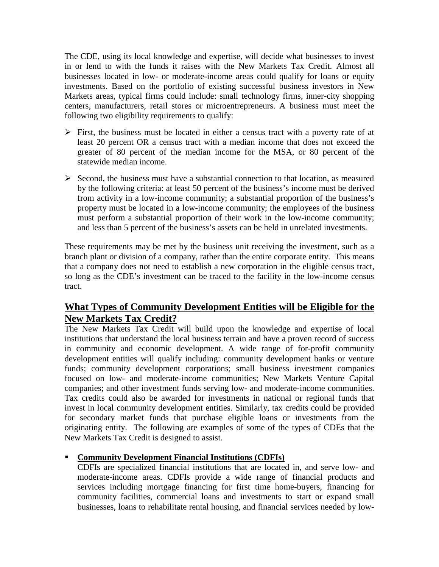The CDE, using its local knowledge and expertise, will decide what businesses to invest in or lend to with the funds it raises with the New Markets Tax Credit. Almost all businesses located in low- or moderate-income areas could qualify for loans or equity investments. Based on the portfolio of existing successful business investors in New Markets areas, typical firms could include: small technology firms, inner-city shopping centers, manufacturers, retail stores or microentrepreneurs. A business must meet the following two eligibility requirements to qualify:

- $\triangleright$  First, the business must be located in either a census tract with a poverty rate of at least 20 percent OR a census tract with a median income that does not exceed the greater of 80 percent of the median income for the MSA, or 80 percent of the statewide median income.
- $\triangleright$  Second, the business must have a substantial connection to that location, as measured by the following criteria: at least 50 percent of the business's income must be derived from activity in a low-income community; a substantial proportion of the business's property must be located in a low-income community; the employees of the business must perform a substantial proportion of their work in the low-income community; and less than 5 percent of the business's assets can be held in unrelated investments.

These requirements may be met by the business unit receiving the investment, such as a branch plant or division of a company, rather than the entire corporate entity. This means that a company does not need to establish a new corporation in the eligible census tract, so long as the CDE's investment can be traced to the facility in the low-income census tract.

### **What Types of Community Development Entities will be Eligible for the New Markets Tax Credit?**

The New Markets Tax Credit will build upon the knowledge and expertise of local institutions that understand the local business terrain and have a proven record of success in community and economic development. A wide range of for-profit community development entities will qualify including: community development banks or venture funds; community development corporations; small business investment companies focused on low- and moderate-income communities; New Markets Venture Capital companies; and other investment funds serving low- and moderate-income communities. Tax credits could also be awarded for investments in national or regional funds that invest in local community development entities. Similarly, tax credits could be provided for secondary market funds that purchase eligible loans or investments from the originating entity. The following are examples of some of the types of CDEs that the New Markets Tax Credit is designed to assist.

### # **Community Development Financial Institutions (CDFIs)**

CDFIs are specialized financial institutions that are located in, and serve low- and moderate-income areas. CDFIs provide a wide range of financial products and services including mortgage financing for first time home-buyers, financing for community facilities, commercial loans and investments to start or expand small businesses, loans to rehabilitate rental housing, and financial services needed by low